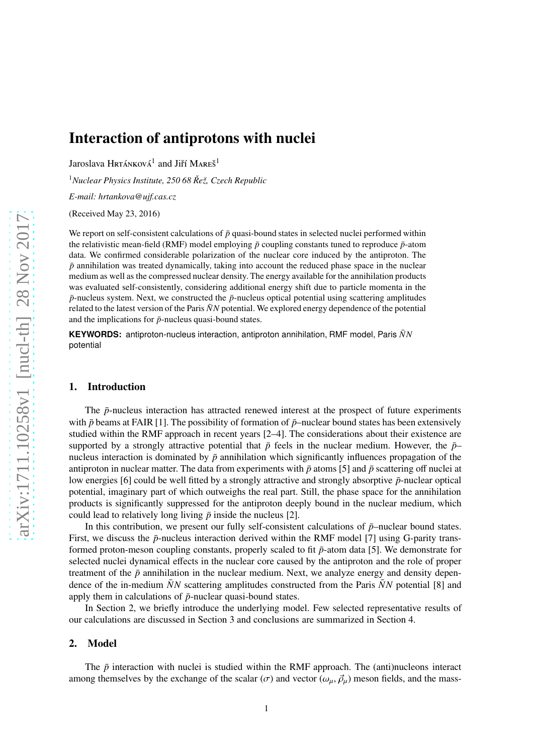# Interaction of antiprotons with nuclei

Jaroslava Hrtánková $^1$  and Jiří Mareš $^1$ 

<sup>1</sup>*Nuclear Physics Institute, 250 68 Reˇz, Czech Republic ˇ*

*E-mail: hrtankova@ujf.cas.cz*

(Received May 23, 2016)

We report on self-consistent calculations of  $\bar{p}$  quasi-bound states in selected nuclei performed within the relativistic mean-field (RMF) model employing  $\bar{p}$  coupling constants tuned to reproduce  $\bar{p}$ -atom data. We confirmed considerable polarization of the nuclear core induced by the antiproton. The  $\bar{p}$  annihilation was treated dynamically, taking into account the reduced phase space in the nuclear medium as well as the compressed nuclear density. The energy available for the annihilation products was evaluated self-consistently, considering additional energy shift due to particle momenta in the  $\bar{p}$ -nucleus system. Next, we constructed the  $\bar{p}$ -nucleus optical potential using scattering amplitudes related to the latest version of the Paris  $\bar{N}N$  potential. We explored energy dependence of the potential and the implications for  $\bar{p}$ -nucleus quasi-bound states.

**KEYWORDS:** antiproton-nucleus interaction, antiproton annihilation, RMF model, Paris *NN*¯ potential

## 1. Introduction

The  $\bar{p}$ -nucleus interaction has attracted renewed interest at the prospect of future experiments with  $\bar{p}$  beams at FAIR [1]. The possibility of formation of  $\bar{p}$ –nuclear bound states has been extensively studied within the RMF approach in recent years [2–4]. The considerations about their existence are supported by a strongly attractive potential that  $\bar{p}$  feels in the nuclear medium. However, the  $\bar{p}$ – nucleus interaction is dominated by  $\bar{p}$  annihilation which significantly influences propagation of the antiproton in nuclear matter. The data from experiments with  $\bar{p}$  atoms [5] and  $\bar{p}$  scattering off nuclei at low energies [6] could be well fitted by a strongly attractive and strongly absorptive ¯*p*-nuclear optical potential, imaginary part of which outweighs the real part. Still, the phase space for the annihilation products is significantly suppressed for the antiproton deeply bound in the nuclear medium, which could lead to relatively long living  $\bar{p}$  inside the nucleus [2].

In this contribution, we present our fully self-consistent calculations of  $\bar{p}$ –nuclear bound states. First, we discuss the  $\bar{p}$ -nucleus interaction derived within the RMF model [7] using G-parity transformed proton-meson coupling constants, properly scaled to fit  $\bar{p}$ -atom data [5]. We demonstrate for selected nuclei dynamical effects in the nuclear core caused by the antiproton and the role of proper treatment of the  $\bar{p}$  annihilation in the nuclear medium. Next, we analyze energy and density dependence of the in-medium  $\bar{N}N$  scattering amplitudes constructed from the Paris  $\bar{N}N$  potential [8] and apply them in calculations of  $\bar{p}$ -nuclear quasi-bound states.

In Section 2, we briefly introduce the underlying model. Few selected representative results of our calculations are discussed in Section 3 and conclusions are summarized in Section 4.

#### 2. Model

The  $\bar{p}$  interaction with nuclei is studied within the RMF approach. The (anti)nucleons interact among themselves by the exchange of the scalar ( $\sigma$ ) and vector ( $\omega_{\mu}$ ,  $\vec{\rho}_{\mu}$ ) meson fields, and the mass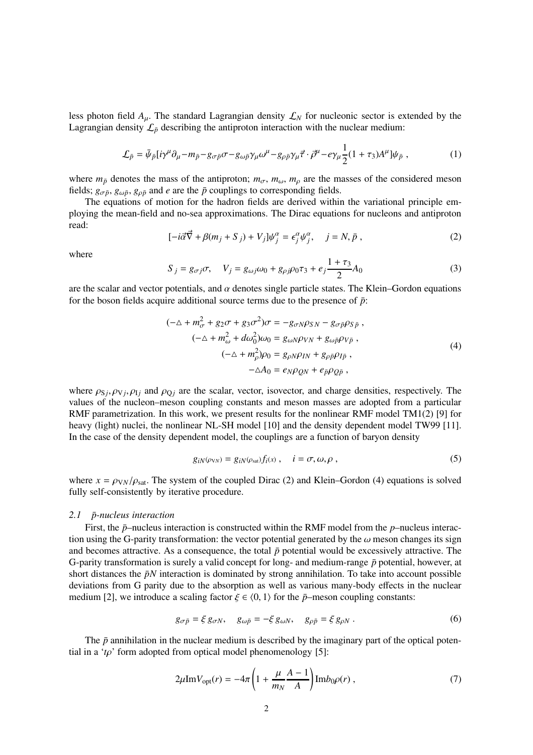less photon field  $A_\mu$ . The standard Lagrangian density  $\mathcal{L}_N$  for nucleonic sector is extended by the Lagrangian density  $\mathcal{L}_{\bar{p}}$  describing the antiproton interaction with the nuclear medium:

$$
\mathcal{L}_{\bar{p}} = \bar{\psi}_{\bar{p}}[i\gamma^{\mu}\partial_{\mu} - m_{\bar{p}} - g_{\sigma\bar{p}}\sigma - g_{\omega\bar{p}}\gamma_{\mu}\omega^{\mu} - g_{\rho\bar{p}}\gamma_{\mu}\vec{\tau} \cdot \vec{\rho}^{\mu} - e\gamma_{\mu}\frac{1}{2}(1+\tau_{3})A^{\mu}]\psi_{\bar{p}} , \qquad (1)
$$

where  $m_{\bar{p}}$  denotes the mass of the antiproton;  $m_{\sigma}$ ,  $m_{\omega}$ ,  $m_{\rho}$  are the masses of the considered meson fields;  $g_{\sigma\bar{p}}$ ,  $g_{\omega\bar{p}}$ ,  $g_{\rho\bar{p}}$  and *e* are the  $\bar{p}$  couplings to corresponding fields.

The equations of motion for the hadron fields are derived within the variational principle employing the mean-field and no-sea approximations. The Dirac equations for nucleons and antiproton read:

$$
[-i\vec{\alpha}\vec{\nabla} + \beta(m_j + S_j) + V_j]\psi_j^{\alpha} = \epsilon_j^{\alpha}\psi_j^{\alpha}, \quad j = N, \bar{p}, \tag{2}
$$

where

$$
S_{j} = g_{\sigma j} \sigma, \quad V_{j} = g_{\omega j} \omega_0 + g_{\rho j} \rho_0 \tau_3 + e_j \frac{1 + \tau_3}{2} A_0 \tag{3}
$$

are the scalar and vector potentials, and  $\alpha$  denotes single particle states. The Klein–Gordon equations for the boson fields acquire additional source terms due to the presence of  $\bar{p}$ :

$$
(-\Delta + m_{\sigma}^2 + g_2 \sigma + g_3 \sigma^2) \sigma = -g_{\sigma N} \rho_{SN} - g_{\sigma \bar{p}} \rho_{S \bar{p}},
$$
  
\n
$$
(-\Delta + m_{\omega}^2 + d\omega_0^2) \omega_0 = g_{\omega N} \rho_{VN} + g_{\omega \bar{p}} \rho_{V \bar{p}},
$$
  
\n
$$
(-\Delta + m_{\rho}^2) \rho_0 = g_{\rho N} \rho_{IN} + g_{\rho \bar{p}} \rho_{I \bar{p}},
$$
  
\n
$$
-\Delta A_0 = e_N \rho_{QN} + e_{\bar{p}} \rho_{Q \bar{p}},
$$
  
\n(4)

where  $\rho_{Sj}, \rho_{Vj}, \rho_{Ij}$  and  $\rho_{Qj}$  are the scalar, vector, isovector, and charge densities, respectively. The values of the nucleon–meson coupling constants and meson masses are adopted from a particular RMF parametrization. In this work, we present results for the nonlinear RMF model TM1(2) [9] for heavy (light) nuclei, the nonlinear NL-SH model [10] and the density dependent model TW99 [11]. In the case of the density dependent model, the couplings are a function of baryon density

$$
g_{iN}(\rho_{VN}) = g_{iN}(\rho_{sat})f_i(x), \quad i = \sigma, \omega, \rho,
$$
\n(5)

where  $x = \rho_{VN}/\rho_{sat}$ . The system of the coupled Dirac (2) and Klein–Gordon (4) equations is solved fully self-consistently by iterative procedure.

#### *2.1 p-nucleus interaction* ¯

First, the  $\bar{p}$ –nucleus interaction is constructed within the RMF model from the  $p$ –nucleus interaction using the G-parity transformation: the vector potential generated by the  $\omega$  meson changes its sign and becomes attractive. As a consequence, the total  $\bar{p}$  potential would be excessively attractive. The G-parity transformation is surely a valid concept for long- and medium-range  $\bar{p}$  potential, however, at short distances the  $\bar{p}N$  interaction is dominated by strong annihilation. To take into account possible deviations from G parity due to the absorption as well as various many-body effects in the nuclear medium [2], we introduce a scaling factor  $\xi \in \langle 0, 1 \rangle$  for the  $\bar{p}$ –meson coupling constants:

$$
g_{\sigma\bar{p}} = \xi \, g_{\sigma N}, \quad g_{\omega\bar{p}} = -\xi \, g_{\omega N}, \quad g_{\rho\bar{p}} = \xi \, g_{\rho N} \,. \tag{6}
$$

The  $\bar{p}$  annihilation in the nuclear medium is described by the imaginary part of the optical potential in a '*t*ρ' form adopted from optical model phenomenology [5]:

$$
2\mu \text{Im} V_{\text{opt}}(r) = -4\pi \left( 1 + \frac{\mu}{m_N} \frac{A-1}{A} \right) \text{Im} b_0 \rho(r) , \qquad (7)
$$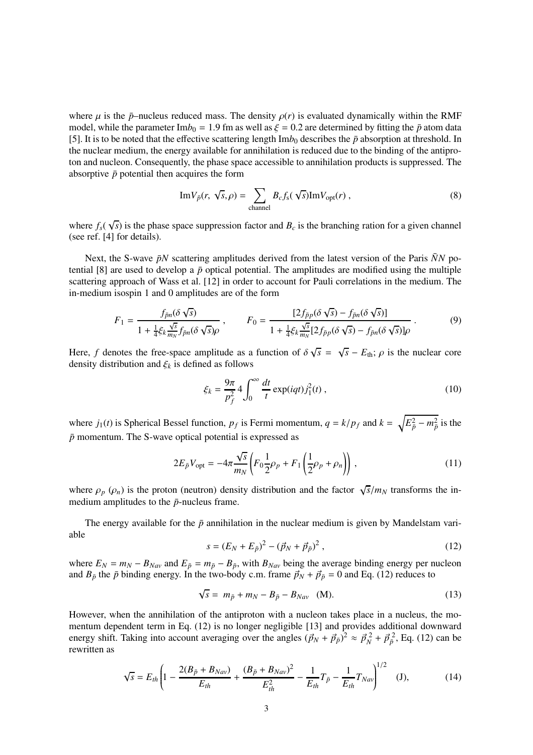where  $\mu$  is the  $\bar{p}$ –nucleus reduced mass. The density  $\rho(r)$  is evaluated dynamically within the RMF model, while the parameter Im $b_0 = 1.9$  fm as well as  $\xi = 0.2$  are determined by fitting the  $\bar{p}$  atom data [5]. It is to be noted that the effective scattering length  $\text{Im}b_0$  describes the  $\bar{p}$  absorption at threshold. In the nuclear medium, the energy available for annihilation is reduced due to the binding of the antiproton and nucleon. Consequently, the phase space accessible to annihilation products is suppressed. The absorptive  $\bar{p}$  potential then acquires the form

$$
\mathrm{Im}V_{\bar{p}}(r,\sqrt{s},\rho)=\sum_{\text{channel}}B_{c}f_{s}(\sqrt{s})\mathrm{Im}V_{\text{opt}}(r)\,,\tag{8}
$$

where  $f_s(\sqrt{s})$  is the phase space suppression factor and  $B_c$  is the branching ration for a given channel (see ref. [4] for details).

Next, the S-wave  $\bar{p}N$  scattering amplitudes derived from the latest version of the Paris  $\bar{N}N$  potential [8] are used to develop a  $\bar{p}$  optical potential. The amplitudes are modified using the multiple scattering approach of Wass et al. [12] in order to account for Pauli correlations in the medium. The in-medium isospin 1 and 0 amplitudes are of the form

$$
F_1 = \frac{f_{\bar{p}n}(\delta\sqrt{s})}{1 + \frac{1}{4}\xi_k \frac{\sqrt{s}}{m_N}f_{\bar{p}n}(\delta\sqrt{s})\rho}, \qquad F_0 = \frac{[2f_{\bar{p}p}(\delta\sqrt{s}) - f_{\bar{p}n}(\delta\sqrt{s})]}{1 + \frac{1}{4}\xi_k \frac{\sqrt{s}}{m_N}[2f_{\bar{p}p}(\delta\sqrt{s}) - f_{\bar{p}n}(\delta\sqrt{s})]\rho}.
$$
(9)

Here, *f* denotes the free-space amplitude as a function of  $\delta \sqrt{s} = \sqrt{s} - E_{\text{th}}$ ;  $\rho$  is the nuclear core density distribution and  $\xi_k$  is defined as follows

$$
\xi_k = \frac{9\pi}{p_f^2} 4 \int_0^\infty \frac{dt}{t} \exp(iqt) j_1^2(t) , \qquad (10)
$$

where  $j_1(t)$  is Spherical Bessel function,  $p_f$  is Fermi momentum,  $q = k/p_f$  and  $k = \sqrt{E_p^2 - m_p^2}$  is the  $\bar{p}$  momentum. The S-wave optical potential is expressed as

$$
2E_{\bar{p}}V_{\text{opt}} = -4\pi \frac{\sqrt{s}}{m_N} \left( F_0 \frac{1}{2} \rho_p + F_1 \left( \frac{1}{2} \rho_p + \rho_n \right) \right), \qquad (11)
$$

where  $\rho_p$  ( $\rho_n$ ) is the proton (neutron) density distribution and the factor  $\sqrt{s}/m_N$  transforms the inmedium amplitudes to the  $\bar{p}$ -nucleus frame.

The energy available for the  $\bar{p}$  annihilation in the nuclear medium is given by Mandelstam variable

$$
s = (E_N + E_{\bar{p}})^2 - (\vec{p}_N + \vec{p}_{\bar{p}})^2 , \qquad (12)
$$

where  $E_N = m_N - B_{Nav}$  and  $E_{\bar{p}} = m_{\bar{p}} - B_{\bar{p}}$ , with  $B_{Nav}$  being the average binding energy per nucleon and  $B_{\bar{p}}$  the  $\bar{p}$  binding energy. In the two-body c.m. frame  $\vec{p}_N + \vec{p}_{\bar{p}} = 0$  and Eq. (12) reduces to

$$
\sqrt{s} = m_{\bar{p}} + m_N - B_{\bar{p}} - B_{Nav} \quad (M). \tag{13}
$$

However, when the annihilation of the antiproton with a nucleon takes place in a nucleus, the momentum dependent term in Eq. (12) is no longer negligible [13] and provides additional downward energy shift. Taking into account averaging over the angles  $(\vec{p}_N + \vec{p}_{\bar{p}})^2 \approx \vec{p}_N^2 + \vec{p}_{\bar{p}}^2$ , Eq. (12) can be rewritten as

$$
\sqrt{s} = E_{th} \left( 1 - \frac{2(B_{\bar{p}} + B_{Nav})}{E_{th}} + \frac{(B_{\bar{p}} + B_{Nav})^2}{E_{th}^2} - \frac{1}{E_{th}} T_{\bar{p}} - \frac{1}{E_{th}} T_{Nav} \right)^{1/2} \quad (J), \tag{14}
$$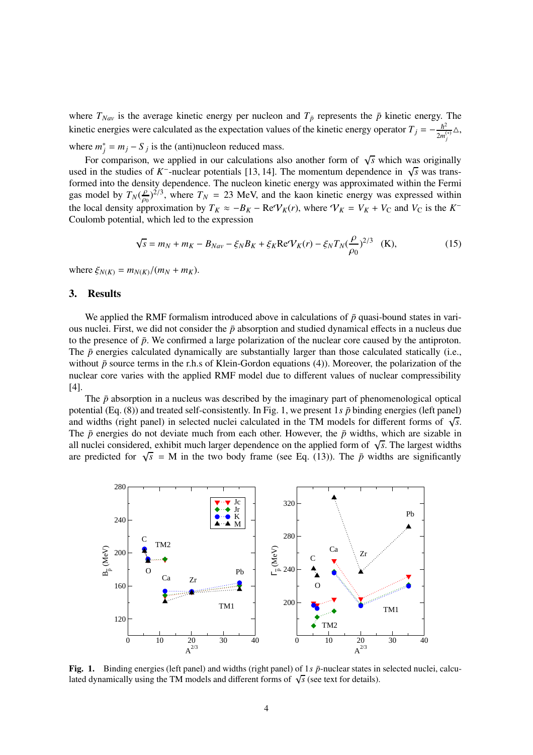where  $T_{\text{Nav}}$  is the average kinetic energy per nucleon and  $T_{\bar{p}}$  represents the  $\bar{p}$  kinetic energy. The kinetic energies were calculated as the expectation values of the kinetic energy operator  $T_j = -\frac{\hbar^2}{2m}$  $\frac{\hbar^2}{2m_j^{(*)}}\Delta,$ where  $m_j^* = m_j - S_j$  is the (anti)nucleon reduced mass.

For comparison, we applied in our calculations also another form of  $\sqrt{s}$  which was originally used in the studies of *K*<sup>-</sup>-nuclear potentials [13, 14]. The momentum dependence in  $\sqrt{s}$  was transformed into the density dependence. The nucleon kinetic energy was approximated within the Fermi gas model by  $T_N(\frac{\rho}{\rho_0})$  $(\frac{\rho}{\rho_0})^{2/3}$ , where  $T_N = 23$  MeV, and the kaon kinetic energy was expressed within the local density approximation by  $T_K \approx -B_K - \text{Re}V_K(r)$ , where  $V_K = V_K + V_C$  and  $V_C$  is the  $K^-$ Coulomb potential, which led to the expression

$$
\sqrt{s} = m_N + m_K - B_{Nav} - \xi_N B_K + \xi_K \text{Re} V_K(r) - \xi_N T_N (\frac{\rho}{\rho_0})^{2/3} \quad \text{(K)},
$$

 $\text{where } \xi_{N(K)} = m_{N(K)}/(m_N + m_K).$ 

### 3. Results

We applied the RMF formalism introduced above in calculations of  $\bar{p}$  quasi-bound states in various nuclei. First, we did not consider the  $\bar{p}$  absorption and studied dynamical effects in a nucleus due to the presence of  $\bar{p}$ . We confirmed a large polarization of the nuclear core caused by the antiproton. The  $\bar{p}$  energies calculated dynamically are substantially larger than those calculated statically (i.e., without  $\bar{p}$  source terms in the r.h.s of Klein-Gordon equations (4)). Moreover, the polarization of the nuclear core varies with the applied RMF model due to different values of nuclear compressibility [4].

The  $\bar{p}$  absorption in a nucleus was described by the imaginary part of phenomenological optical potential (Eq. (8)) and treated self-consistently. In Fig. 1, we present 1*s*  $\bar{p}$  binding energies (left panel) and widths (right panel) in selected nuclei calculated in the TM models for different forms of  $\sqrt{s}$ . The  $\bar{p}$  energies do not deviate much from each other. However, the  $\bar{p}$  widths, which are sizable in all nuclei considered, exhibit much larger dependence on the applied form of  $\sqrt{s}$ . The largest widths are predicted for  $\sqrt{s}$  = M in the two body frame (see Eq. (13)). The  $\bar{p}$  widths are significantly



Fig. 1. Binding energies (left panel) and widths (right panel) of  $1s\bar{p}$ -nuclear states in selected nuclei, calculated dynamically using the TM models and different forms of  $\sqrt{s}$  (see text for details).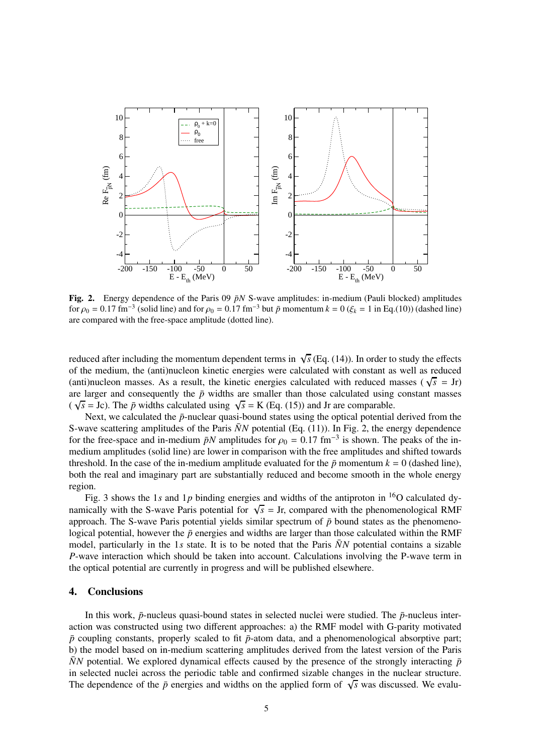

Fig. 2. Energy dependence of the Paris 09  $\bar{p}N$  S-wave amplitudes: in-medium (Pauli blocked) amplitudes for  $\rho_0 = 0.17$  fm<sup>-3</sup> (solid line) and for  $\rho_0 = 0.17$  fm<sup>-3</sup> but  $\bar{p}$  momentum  $k = 0$  ( $\xi_k = 1$  in Eq.(10)) (dashed line) are compared with the free-space amplitude (dotted line).

reduced after including the momentum dependent terms in  $\sqrt{s}$  (Eq. (14)). In order to study the effects of the medium, the (anti)nucleon kinetic energies were calculated with constant as well as reduced (anti)nucleon masses. As a result, the kinetic energies calculated with reduced masses ( $\sqrt{s}$  = Jr) are larger and consequently the  $\bar{p}$  widths are smaller than those calculated using constant masses  $(\sqrt{s} = Jc)$ . The  $\bar{p}$  widths calculated using  $\sqrt{s} = K$  (Eq. (15)) and Jr are comparable.

Next, we calculated the  $\bar{p}$ -nuclear quasi-bound states using the optical potential derived from the S-wave scattering amplitudes of the Paris  $\bar{N}N$  potential (Eq. (11)). In Fig. 2, the energy dependence for the free-space and in-medium  $\bar{p}N$  amplitudes for  $\rho_0 = 0.17$  fm<sup>-3</sup> is shown. The peaks of the inmedium amplitudes (solid line) are lower in comparison with the free amplitudes and shifted towards threshold. In the case of the in-medium amplitude evaluated for the  $\bar{p}$  momentum  $k = 0$  (dashed line), both the real and imaginary part are substantially reduced and become smooth in the whole energy region.

Fig. 3 shows the 1*s* and 1*p* binding energies and widths of the antiproton in <sup>16</sup>O calculated dynamically with the S-wave Paris potential for  $\sqrt{s} =$  Jr, compared with the phenomenological RMF approach. The S-wave Paris potential yields similar spectrum of  $\bar{p}$  bound states as the phenomenological potential, however the  $\bar{p}$  energies and widths are larger than those calculated within the RMF model, particularly in the 1s state. It is to be noted that the Paris  $\bar{N}N$  potential contains a sizable *P*-wave interaction which should be taken into account. Calculations involving the P-wave term in the optical potential are currently in progress and will be published elsewhere.

#### 4. Conclusions

In this work,  $\bar{p}$ -nucleus quasi-bound states in selected nuclei were studied. The  $\bar{p}$ -nucleus interaction was constructed using two different approaches: a) the RMF model with G-parity motivated  $\bar{p}$  coupling constants, properly scaled to fit  $\bar{p}$ -atom data, and a phenomenological absorptive part; b) the model based on in-medium scattering amplitudes derived from the latest version of the Paris  $\bar{N}N$  potential. We explored dynamical effects caused by the presence of the strongly interacting  $\bar{p}$ in selected nuclei across the periodic table and confirmed sizable changes in the nuclear structure. The dependence of the  $\bar{p}$  energies and widths on the applied form of  $\sqrt{s}$  was discussed. We evalu-